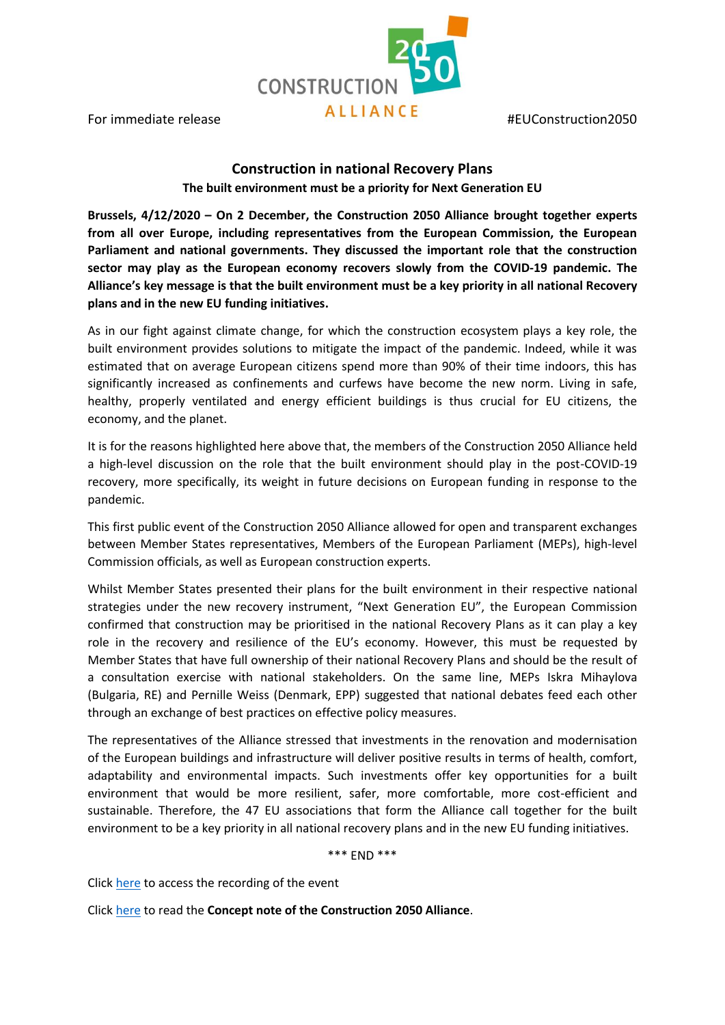**CONSTRUCTION** For immediate release **ALLIANCE** #EUConstruction2050

## **Construction in national Recovery Plans**

**The built environment must be a priority for Next Generation EU**

**Brussels, 4/12/2020 – On 2 December, the Construction 2050 Alliance brought together experts from all over Europe, including representatives from the European Commission, the European Parliament and national governments. They discussed the important role that the construction sector may play as the European economy recovers slowly from the COVID-19 pandemic. The Alliance's key message is that the built environment must be a key priority in all national Recovery plans and in the new EU funding initiatives.**

As in our fight against climate change, for which the construction ecosystem plays a key role, the built environment provides solutions to mitigate the impact of the pandemic. Indeed, while it was estimated that on average European citizens spend more than 90% of their time indoors, this has significantly increased as confinements and curfews have become the new norm. Living in safe, healthy, properly ventilated and energy efficient buildings is thus crucial for EU citizens, the economy, and the planet.

It is for the reasons highlighted here above that, the members of the Construction 2050 Alliance held a high-level discussion on the role that the built environment should play in the post-COVID-19 recovery, more specifically, its weight in future decisions on European funding in response to the pandemic.

This first public event of the Construction 2050 Alliance allowed for open and transparent exchanges between Member States representatives, Members of the European Parliament (MEPs), high-level Commission officials, as well as European construction experts.

Whilst Member States presented their plans for the built environment in their respective national strategies under the new recovery instrument, "Next Generation EU", the European Commission confirmed that construction may be prioritised in the national Recovery Plans as it can play a key role in the recovery and resilience of the EU's economy. However, this must be requested by Member States that have full ownership of their national Recovery Plans and should be the result of a consultation exercise with national stakeholders. On the same line, MEPs Iskra Mihaylova (Bulgaria, RE) and Pernille Weiss (Denmark, EPP) suggested that national debates feed each other through an exchange of best practices on effective policy measures.

The representatives of the Alliance stressed that investments in the renovation and modernisation of the European buildings and infrastructure will deliver positive results in terms of health, comfort, adaptability and environmental impacts. Such investments offer key opportunities for a built environment that would be more resilient, safer, more comfortable, more cost-efficient and sustainable. Therefore, the 47 EU associations that form the Alliance call together for the built environment to be a key priority in all national recovery plans and in the new EU funding initiatives.

\*\*\* END \*\*\*

Click [here](https://attendee.gotowebinar.com/recording/6158615727195012875) to access the recording of the event

Click [here](http://www.fiec.eu/application/files/7816/0701/3060/Construction_2050_Paper-Building_tomorrow_s_Europe_today.pdf) to read the **Concept note of the Construction 2050 Alliance**.